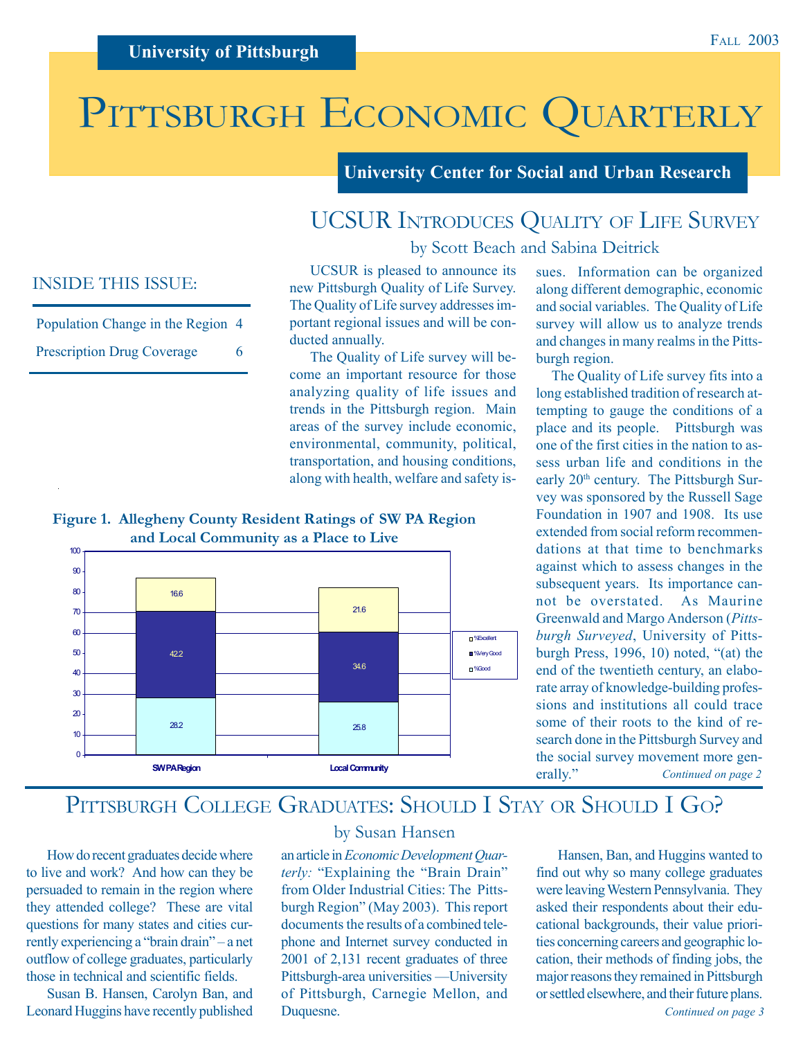# PITTSBURGH ECONOMIC QUARTERLY

**University Center for Social and Urban Research**

### UCSUR INTRODUCES QUALITY OF LIFE SURVEY by Scott Beach and Sabina Deitrick

### INSIDE THIS ISSUE:

| Population Change in the Region 4 |    |
|-----------------------------------|----|
| <b>Prescription Drug Coverage</b> | 6. |

UCSUR is pleased to announce its new Pittsburgh Quality of Life Survey. The Quality of Life survey addresses important regional issues and will be conducted annually.

The Quality of Life survey will become an important resource for those analyzing quality of life issues and trends in the Pittsburgh region. Main areas of the survey include economic, environmental, community, political, transportation, and housing conditions, along with health, welfare and safety is-

### **Figure 1. Allegheny County Resident Ratings of SW PA Region and Local Community as a Place to Live**



sues. Information can be organized along different demographic, economic and social variables. The Quality of Life survey will allow us to analyze trends and changes in many realms in the Pittsburgh region.

 The Quality of Life survey fits into a long established tradition of research attempting to gauge the conditions of a place and its people. Pittsburgh was one of the first cities in the nation to assess urban life and conditions in the early 20<sup>th</sup> century. The Pittsburgh Survey was sponsored by the Russell Sage Foundation in 1907 and 1908. Its use extended from social reform recommendations at that time to benchmarks against which to assess changes in the subsequent years. Its importance cannot be overstated. As Maurine Greenwald and Margo Anderson (*Pittsburgh Surveyed*, University of Pittsburgh Press, 1996, 10) noted, "(at) the end of the twentieth century, an elaborate array of knowledge-building professions and institutions all could trace some of their roots to the kind of research done in the Pittsburgh Survey and the social survey movement more generally." *Continued on page 2*

## PITTSBURGH COLLEGE GRADUATES: SHOULD I STAY OR SHOULD I GO?

How do recent graduates decide where to live and work? And how can they be persuaded to remain in the region where they attended college? These are vital questions for many states and cities currently experiencing a "brain drain" – a net outflow of college graduates, particularly those in technical and scientific fields.

Susan B. Hansen, Carolyn Ban, and Leonard Huggins have recently published

### by Susan Hansen

an article in *Economic Development Quarterly:* "Explaining the "Brain Drain" from Older Industrial Cities: The Pittsburgh Region" (May 2003). This report documents the results of a combined telephone and Internet survey conducted in 2001 of 2,131 recent graduates of three Pittsburgh-area universities —University of Pittsburgh, Carnegie Mellon, and Duquesne.

*Continued on page 3* Hansen, Ban, and Huggins wanted to find out why so many college graduates were leaving Western Pennsylvania. They asked their respondents about their educational backgrounds, their value priorities concerning careers and geographic location, their methods of finding jobs, the major reasons they remained in Pittsburgh or settled elsewhere, and their future plans.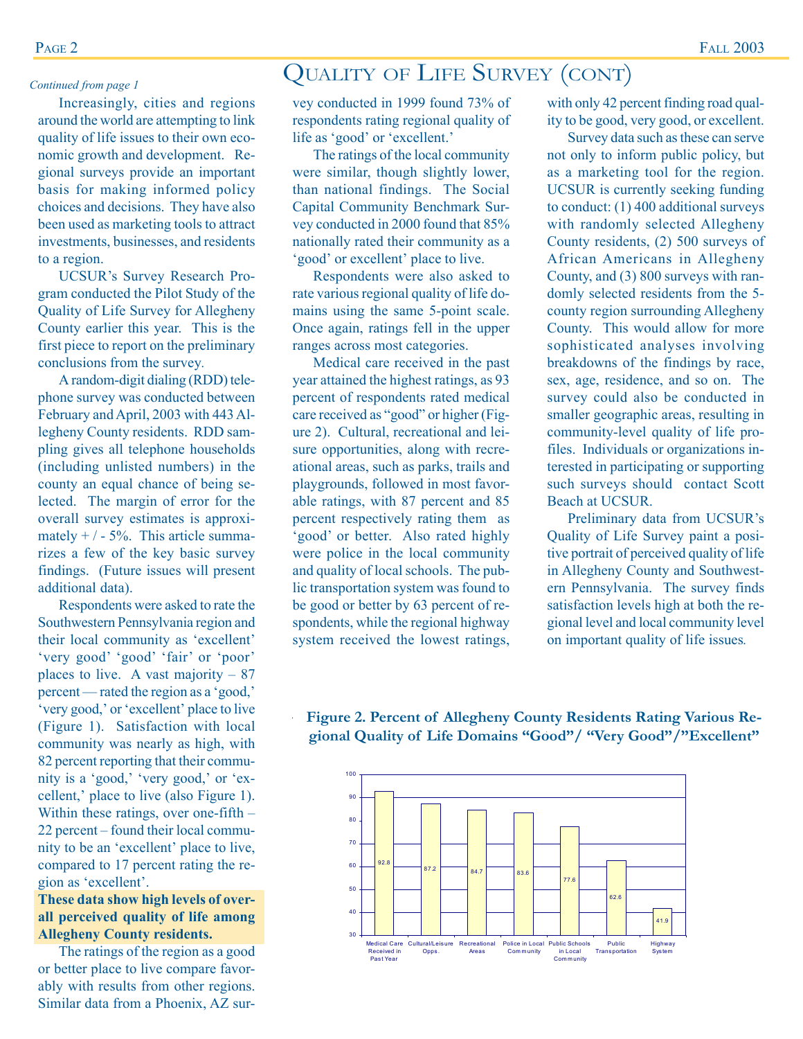Increasingly, cities and regions around the world are attempting to link quality of life issues to their own economic growth and development. Regional surveys provide an important basis for making informed policy choices and decisions. They have also been used as marketing tools to attract investments, businesses, and residents to a region.

UCSUR's Survey Research Program conducted the Pilot Study of the Quality of Life Survey for Allegheny County earlier this year. This is the first piece to report on the preliminary conclusions from the survey*.*

A random-digit dialing (RDD) telephone survey was conducted between February and April, 2003 with 443 Allegheny County residents. RDD sampling gives all telephone households (including unlisted numbers) in the county an equal chance of being selected. The margin of error for the overall survey estimates is approximately  $+/-5%$ . This article summarizes a few of the key basic survey findings. (Future issues will present additional data).

Respondents were asked to rate the Southwestern Pennsylvania region and their local community as 'excellent' 'very good' 'good' 'fair' or 'poor' places to live. A vast majority  $-87$ percent — rated the region as a 'good,' 'very good,' or 'excellent' place to live (Figure 1). Satisfaction with local community was nearly as high, with 82 percent reporting that their community is a 'good,' 'very good,' or 'excellent,' place to live (also Figure 1). Within these ratings, over one-fifth – 22 percent – found their local community to be an 'excellent' place to live, compared to 17 percent rating the region as 'excellent'.

### **These data show high levels of overall perceived quality of life among Allegheny County residents.**

The ratings of the region as a good or better place to live compare favorably with results from other regions. Similar data from a Phoenix, AZ sur-

### QUALITY OF LIFE SURVEY (CONT) *Continued from page 1*

vey conducted in 1999 found 73% of respondents rating regional quality of life as 'good' or 'excellent.'

The ratings of the local community were similar, though slightly lower, than national findings. The Social Capital Community Benchmark Survey conducted in 2000 found that 85% nationally rated their community as a 'good' or excellent' place to live.

Respondents were also asked to rate various regional quality of life domains using the same 5-point scale. Once again, ratings fell in the upper ranges across most categories.

Medical care received in the past year attained the highest ratings, as 93 percent of respondents rated medical care received as "good" or higher (Figure 2). Cultural, recreational and leisure opportunities, along with recreational areas, such as parks, trails and playgrounds, followed in most favorable ratings, with 87 percent and 85 percent respectively rating them as 'good' or better. Also rated highly were police in the local community and quality of local schools. The public transportation system was found to be good or better by 63 percent of respondents, while the regional highway system received the lowest ratings,

with only 42 percent finding road quality to be good, very good, or excellent.

Survey data such as these can serve not only to inform public policy, but as a marketing tool for the region. UCSUR is currently seeking funding to conduct: (1) 400 additional surveys with randomly selected Allegheny County residents, (2) 500 surveys of African Americans in Allegheny County, and (3) 800 surveys with randomly selected residents from the 5 county region surrounding Allegheny County. This would allow for more sophisticated analyses involving breakdowns of the findings by race, sex, age, residence, and so on. The survey could also be conducted in smaller geographic areas, resulting in community-level quality of life profiles. Individuals or organizations interested in participating or supporting such surveys should contact Scott Beach at UCSUR.

Preliminary data from UCSUR's Quality of Life Survey paint a positive portrait of perceived quality of life in Allegheny County and Southwestern Pennsylvania. The survey finds satisfaction levels high at both the regional level and local community level on important quality of life issues*.*

 . **gional Quality of Life Domains "Good"/ "Very Good"/"Excellent"Figure 2. Percent of Allegheny County Residents Rating Various Re-**

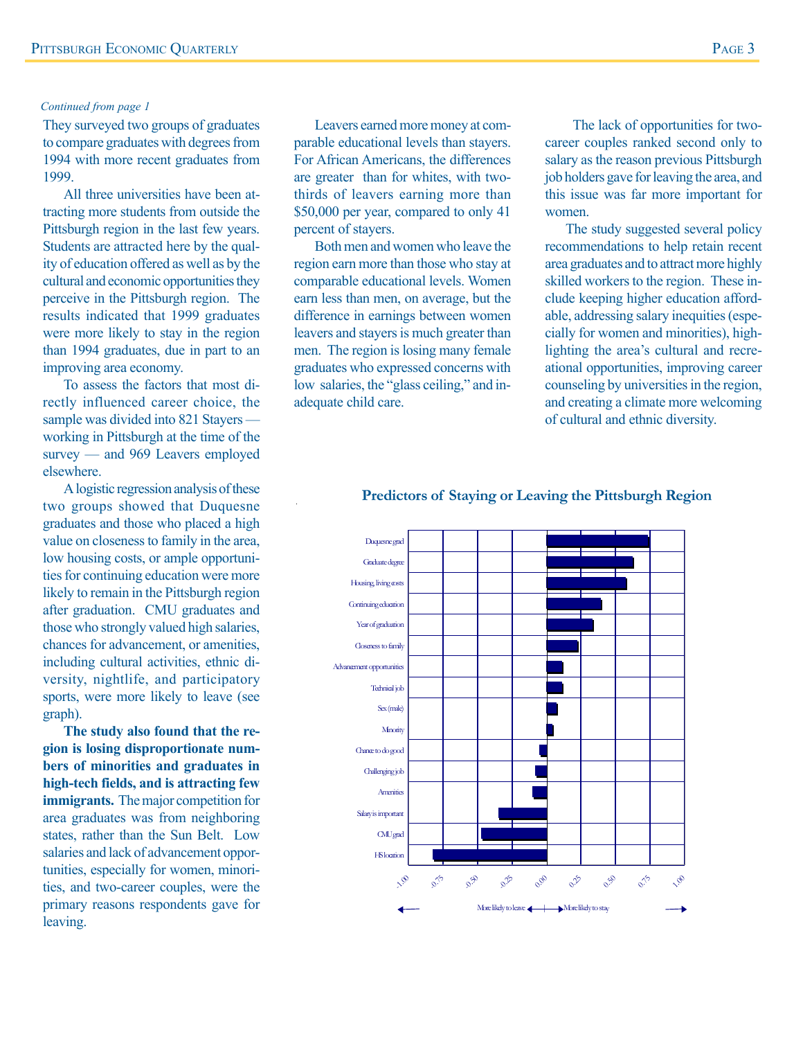#### *Continued from page 1*

They surveyed two groups of graduates to compare graduates with degrees from 1994 with more recent graduates from 1999.

All three universities have been attracting more students from outside the Pittsburgh region in the last few years. Students are attracted here by the quality of education offered as well as by the cultural and economic opportunities they perceive in the Pittsburgh region. The results indicated that 1999 graduates were more likely to stay in the region than 1994 graduates, due in part to an improving area economy.

To assess the factors that most directly influenced career choice, the sample was divided into 821 Stayers working in Pittsburgh at the time of the survey — and 969 Leavers employed elsewhere.

A logistic regression analysis of these two groups showed that Duquesne graduates and those who placed a high value on closeness to family in the area, low housing costs, or ample opportunities for continuing education were more likely to remain in the Pittsburgh region after graduation. CMU graduates and those who strongly valued high salaries, chances for advancement, or amenities, including cultural activities, ethnic diversity, nightlife, and participatory sports, were more likely to leave (see graph).

**The study also found that the region is losing disproportionate numbers of minorities and graduates in high-tech fields, and is attracting few immigrants.** The major competition for area graduates was from neighboring states, rather than the Sun Belt. Low salaries and lack of advancement opportunities, especially for women, minorities, and two-career couples, were the primary reasons respondents gave for leaving.

Leavers earned more money at comparable educational levels than stayers. For African Americans, the differences are greater than for whites, with twothirds of leavers earning more than \$50,000 per year, compared to only 41 percent of stayers.

Both men and women who leave the region earn more than those who stay at comparable educational levels. Women earn less than men, on average, but the difference in earnings between women leavers and stayers is much greater than men. The region is losing many female graduates who expressed concerns with low salaries, the "glass ceiling," and inadequate child care.

 The lack of opportunities for twocareer couples ranked second only to salary as the reason previous Pittsburgh job holders gave for leaving the area, and this issue was far more important for women.

The study suggested several policy recommendations to help retain recent area graduates and to attract more highly skilled workers to the region. These include keeping higher education affordable, addressing salary inequities (especially for women and minorities), highlighting the area's cultural and recreational opportunities, improving career counseling by universities in the region, and creating a climate more welcoming of cultural and ethnic diversity.

#### **Predictors of Staying or Leaving the Pittsburgh Region**

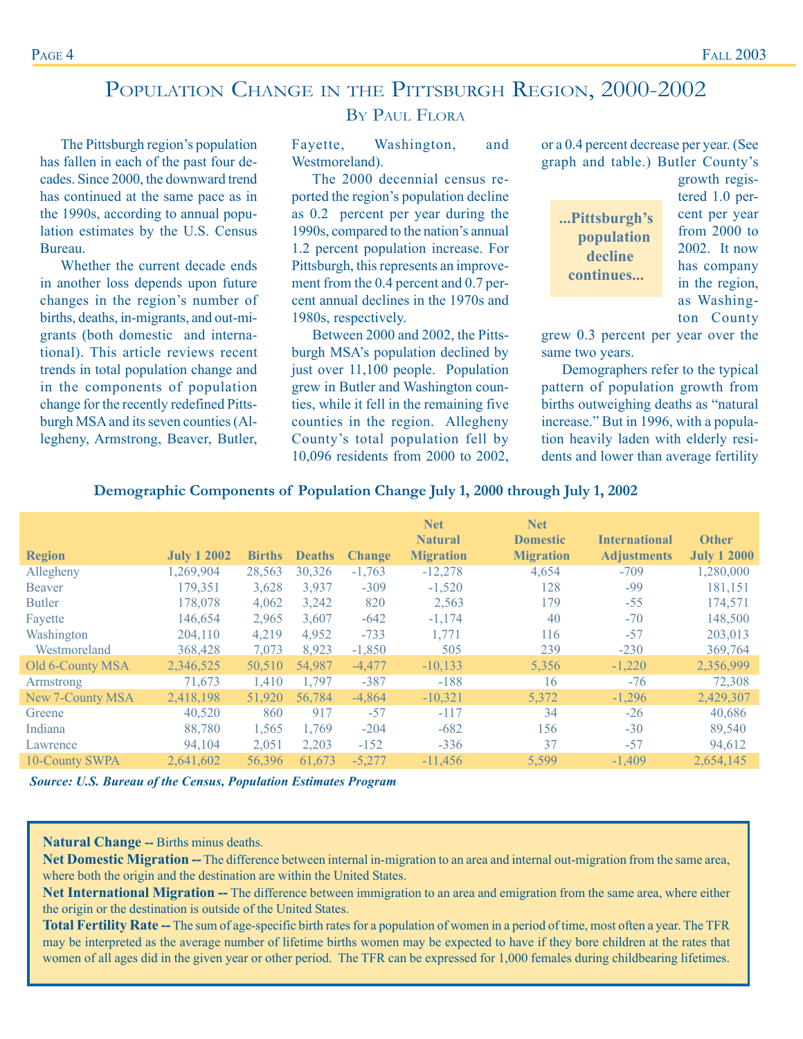### POPULATION CHANGE IN THE PITTSBURGH REGION, 2000-2002

BY PAUL FLORA

Fayette, Washington, and Westmoreland).

The 2000 decennial census reported the region's population decline as 0.2 percent per year during the 1990s, compared to the nation's annual 1.2 percent population increase. For Pittsburgh, this represents an improvement from the 0.4 percent and 0.7 percent annual declines in the 1970s and 1980s, respectively.

Between 2000 and 2002, the Pittsburgh MSA's population declined by just over 11,100 people. Population grew in Butler and Washington counties, while it fell in the remaining five counties in the region. Allegheny County's total population fell by 10,096 residents from 2000 to 2002, or a 0.4 percent decrease per year. (See graph and table.) Butler County's

**...Pittsburgh's population decline continues...**

growth registered 1.0 percent per year from 2000 to 2002. It now has company in the region, as Washington County

grew 0.3 percent per year over the same two years.

Demographers refer to the typical pattern of population growth from births outweighing deaths as "natural increase." But in 1996, with a population heavily laden with elderly residents and lower than average fertility

|                  |                    |               |               |               | <b>Net</b><br><b>Natural</b> | <b>Net</b><br><b>Domestic</b> | <b>International</b> | <b>Other</b>       |
|------------------|--------------------|---------------|---------------|---------------|------------------------------|-------------------------------|----------------------|--------------------|
| <b>Region</b>    | <b>July 1 2002</b> | <b>Births</b> | <b>Deaths</b> | <b>Change</b> | <b>Migration</b>             | <b>Migration</b>              | <b>Adjustments</b>   | <b>July 1 2000</b> |
| Allegheny        | 1,269,904          | 28,563        | 30,326        | $-1,763$      | $-12,278$                    | 4,654                         | $-709$               | 1,280,000          |
| Beaver           | 179,351            | 3,628         | 3,937         | $-309$        | $-1,520$                     | 128                           | -99                  | 181,151            |
| <b>Butler</b>    | 178,078            | 4,062         | 3,242         | 820           | 2,563                        | 179                           | $-55$                | 174,571            |
| Fayette          | 146,654            | 2,965         | 3,607         | $-642$        | $-1,174$                     | 40                            | $-70$                | 148,500            |
| Washington       | 204,110            | 4,219         | 4,952         | $-733$        | 1,771                        | 116                           | $-57$                | 203,013            |
| Westmoreland     | 368,428            | 7,073         | 8,923         | $-1,850$      | 505                          | 239                           | $-230$               | 369,764            |
| Old 6-County MSA | 2,346,525          | 50,510        | 54,987        | $-4,477$      | $-10, 133$                   | 5,356                         | $-1,220$             | 2,356,999          |
| Armstrong        | 71,673             | 1,410         | 1,797         | $-387$        | $-188$                       | 16                            | $-76$                | 72,308             |
| New 7-County MSA | 2,418,198          | 51,920        | 56,784        | $-4,864$      | $-10,321$                    | 5,372                         | $-1,296$             | 2,429,307          |
| Greene           | 40,520             | 860           | 917           | $-57$         | $-117$                       | 34                            | $-26$                | 40,686             |
| Indiana          | 88,780             | 1,565         | 1,769         | $-204$        | $-682$                       | 156                           | $-30$                | 89,540             |
| Lawrence         | 94,104             | 2,051         | 2,203         | $-152$        | $-336$                       | 37                            | $-57$                | 94,612             |
| 10-County SWPA   | 2,641,602          | 56,396        | 61,673        | $-5,277$      | $-11,456$                    | 5,599                         | $-1,409$             | 2,654,145          |

#### **Demographic Components of Population Change July 1, 2000 through July 1, 2002**

*Source: U.S. Bureau of the Census, Population Estimates Program*

**Natural Change --** Births minus deaths.

Net Domestic Migration -- The difference between internal in-migration to an area and internal out-migration from the same area, where both the origin and the destination are within the United States.

Net International Migration -- The difference between immigration to an area and emigration from the same area, where either the origin or the destination is outside of the United States.

**Total Fertility Rate --** The sum of age-specific birth rates for a population of women in a period of time, most often a year. The TFR may be interpreted as the average number of lifetime births women may be expected to have if they bore children at the rates that women of all ages did in the given year or other period. The TFR can be expressed for 1,000 females during childbearing lifetimes.

Bureau.

The Pittsburgh region's population has fallen in each of the past four decades. Since 2000, the downward trend has continued at the same pace as in the 1990s, according to annual population estimates by the U.S. Census

Whether the current decade ends in another loss depends upon future changes in the region's number of births, deaths, in-migrants, and out-migrants (both domestic and international). This article reviews recent trends in total population change and in the components of population change for the recently redefined Pittsburgh MSA and its seven counties (Allegheny, Armstrong, Beaver, Butler,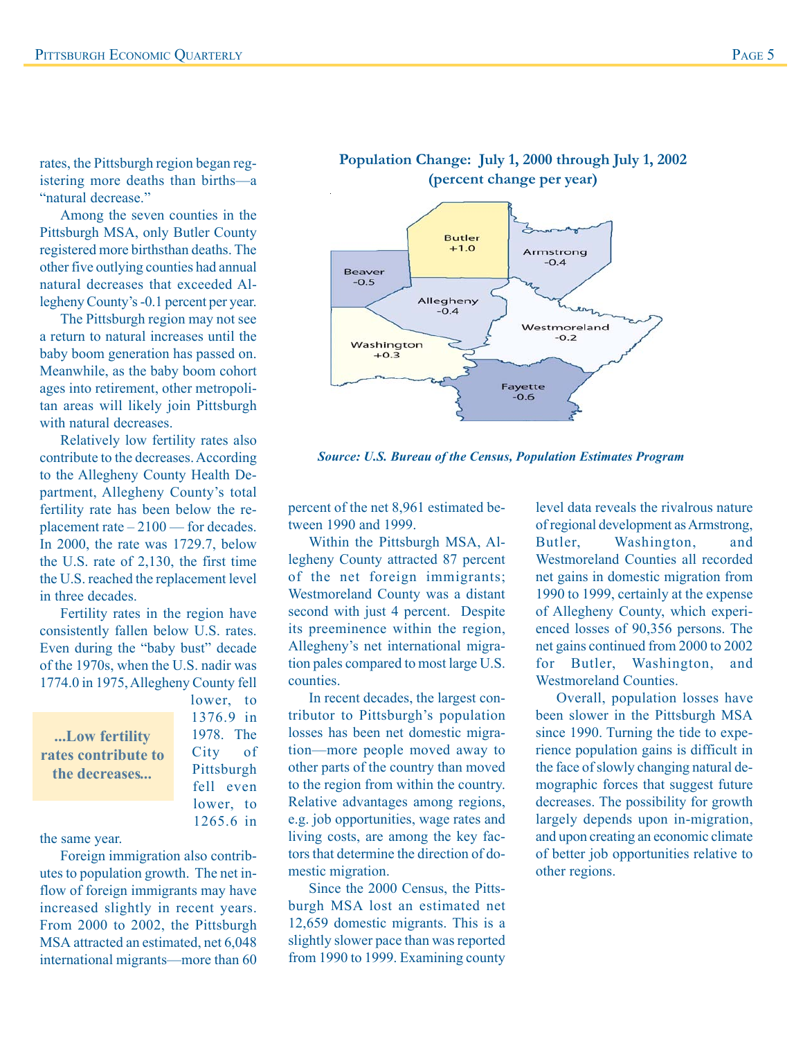rates, the Pittsburgh region began registering more deaths than births—a "natural decrease"

Among the seven counties in the Pittsburgh MSA, only Butler County registered more birthsthan deaths. The other five outlying counties had annual natural decreases that exceeded Allegheny County's -0.1 percent per year.

The Pittsburgh region may not see a return to natural increases until the baby boom generation has passed on. Meanwhile, as the baby boom cohort ages into retirement, other metropolitan areas will likely join Pittsburgh with natural decreases.

Relatively low fertility rates also contribute to the decreases. According to the Allegheny County Health Department, Allegheny County's total fertility rate has been below the replacement rate – 2100 — for decades. In 2000, the rate was 1729.7, below the U.S. rate of 2,130, the first time the U.S. reached the replacement level in three decades.

Fertility rates in the region have consistently fallen below U.S. rates. Even during the "baby bust" decade of the 1970s, when the U.S. nadir was 1774.0 in 1975, Allegheny County fell

**...Low fertility rates contribute to the decreases***...*

1376.9 in 1978. The City of Pittsburgh fell even lower, to 1265.6 in

lower, to

the same year.

Foreign immigration also contributes to population growth. The net inflow of foreign immigrants may have increased slightly in recent years. From 2000 to 2002, the Pittsburgh MSA attracted an estimated, net 6,048 international migrants—more than 60



**Population Change: July 1, 2000 through July 1, 2002**

*Source: U.S. Bureau of the Census, Population Estimates Program*

percent of the net 8,961 estimated between 1990 and 1999.

Within the Pittsburgh MSA, Allegheny County attracted 87 percent of the net foreign immigrants; Westmoreland County was a distant second with just 4 percent. Despite its preeminence within the region, Allegheny's net international migration pales compared to most large U.S. counties.

In recent decades, the largest contributor to Pittsburgh's population losses has been net domestic migration—more people moved away to other parts of the country than moved to the region from within the country. Relative advantages among regions, e.g. job opportunities, wage rates and living costs, are among the key factors that determine the direction of domestic migration.

Since the 2000 Census, the Pittsburgh MSA lost an estimated net 12,659 domestic migrants. This is a slightly slower pace than was reported from 1990 to 1999. Examining county

level data reveals the rivalrous nature of regional development as Armstrong, Butler, Washington, and Westmoreland Counties all recorded net gains in domestic migration from 1990 to 1999, certainly at the expense of Allegheny County, which experienced losses of 90,356 persons. The net gains continued from 2000 to 2002 for Butler, Washington, and Westmoreland Counties.

Overall, population losses have been slower in the Pittsburgh MSA since 1990. Turning the tide to experience population gains is difficult in the face of slowly changing natural demographic forces that suggest future decreases. The possibility for growth largely depends upon in-migration, and upon creating an economic climate of better job opportunities relative to other regions.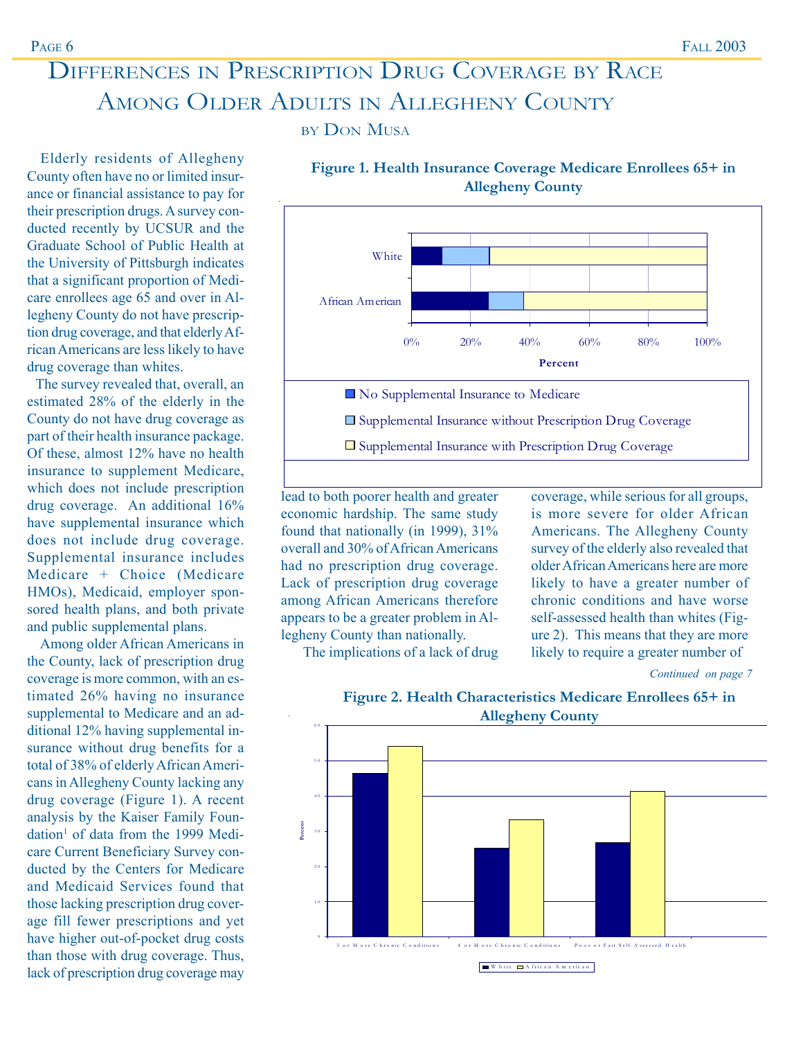### DIFFERENCES IN PRESCRIPTION DRUG COVERAGE BY RACE AMONG OLDER ADULTS IN ALLEGHENY COUNTY

BY DON MUSA

Elderly residents of Allegheny County often have no or limited insurance or financial assistance to pay for their prescription drugs. A survey conducted recently by UCSUR and the Graduate School of Public Health at the University of Pittsburgh indicates that a significant proportion of Medicare enrollees age 65 and over in Allegheny County do not have prescription drug coverage, and that elderly African Americans are less likely to have drug coverage than whites.

 The survey revealed that, overall, an estimated 28% of the elderly in the County do not have drug coverage as part of their health insurance package. Of these, almost 12% have no health insurance to supplement Medicare, which does not include prescription drug coverage. An additional 16% have supplemental insurance which does not include drug coverage. Supplemental insurance includes Medicare + Choice (Medicare HMOs), Medicaid, employer sponsored health plans, and both private and public supplemental plans.

 Among older African Americans in the County, lack of prescription drug coverage is more common, with an estimated 26% having no insurance supplemental to Medicare and an additional 12% having supplemental insurance without drug benefits for a total of 38% of elderly African Americans in Allegheny County lacking any drug coverage (Figure 1). A recent analysis by the Kaiser Family Foundation<sup>1</sup> of data from the 1999 Medicare Current Beneficiary Survey conducted by the Centers for Medicare and Medicaid Services found that those lacking prescription drug coverage fill fewer prescriptions and yet have higher out-of-pocket drug costs than those with drug coverage. Thus, lack of prescription drug coverage may



**Figure 1. Health Insurance Coverage Medicare Enrollees 65+ in Allegheny County**

lead to both poorer health and greater economic hardship. The same study found that nationally (in 1999), 31% overall and 30% of African Americans had no prescription drug coverage. Lack of prescription drug coverage among African Americans therefore appears to be a greater problem in Allegheny County than nationally.

The implications of a lack of drug

coverage, while serious for all groups, is more severe for older African Americans. The Allegheny County survey of the elderly also revealed that older African Americans here are more likely to have a greater number of chronic conditions and have worse self-assessed health than whites (Figure 2). This means that they are more likely to require a greater number of

*Continued on page 7*



### **Figure 2. Health Characteristics Medicare Enrollees 65+ in**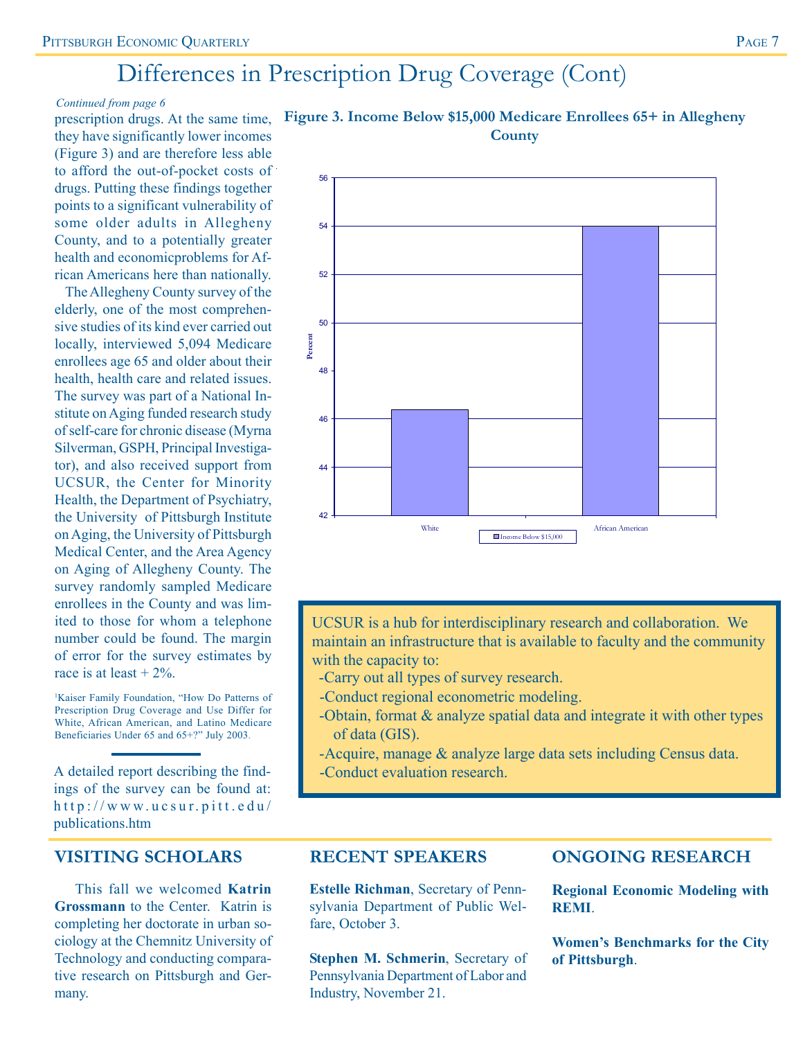### Differences in Prescription Drug Coverage (Cont)

56

#### *Continued from page 6*

prescription drugs. At the same time, they have significantly lower incomes (Figure 3) and are therefore less able to afford the out-of-pocket costs of drugs. Putting these findings together points to a significant vulnerability of some older adults in Allegheny County, and to a potentially greater health and economicproblems for African Americans here than nationally.

 The Allegheny County survey of the elderly, one of the most comprehensive studies of its kind ever carried out locally, interviewed 5,094 Medicare enrollees age 65 and older about their health, health care and related issues. The survey was part of a National Institute on Aging funded research study of self-care for chronic disease (Myrna Silverman, GSPH, Principal Investigator), and also received support from UCSUR, the Center for Minority Health, the Department of Psychiatry, the University of Pittsburgh Institute on Aging, the University of Pittsburgh Medical Center, and the Area Agency on Aging of Allegheny County. The survey randomly sampled Medicare enrollees in the County and was limited to those for whom a telephone number could be found. The margin of error for the survey estimates by race is at least  $+2\%$ .

1 Kaiser Family Foundation, "How Do Patterns of Prescription Drug Coverage and Use Differ for White, African American, and Latino Medicare Beneficiaries Under 65 and 65+?" July 2003.

A detailed report describing the find-<br>
-Conduct evaluation research. ings of the survey can be found at: http://www.ucsur.pitt.edu/ publications.htm

### **VISITING SCHOLARS**

This fall we welcomed **Katrin Grossmann** to the Center. Katrin is completing her doctorate in urban sociology at the Chemnitz University of Technology and conducting comparative research on Pittsburgh and Germany.



### **Figure 3. Income Below \$15,000 Medicare Enrollees 65+ in Allegheny County**

UCSUR is a hub for interdisciplinary research and collaboration. We maintain an infrastructure that is available to faculty and the community with the capacity to:

- -Carry out all types of survey research.
- -Conduct regional econometric modeling.
- -Obtain, format & analyze spatial data and integrate it with other types of data (GIS).
- -Acquire, manage & analyze large data sets including Census data.
- 

### **RECENT SPEAKERS**

**Estelle Richman**, Secretary of Pennsylvania Department of Public Welfare, October 3.

**Stephen M. Schmerin**, Secretary of Pennsylvania Department of Labor and Industry, November 21.

### **ONGOING RESEARCH**

**Regional Economic Modeling with REMI**.

**Women's Benchmarks for the City of Pittsburgh**.